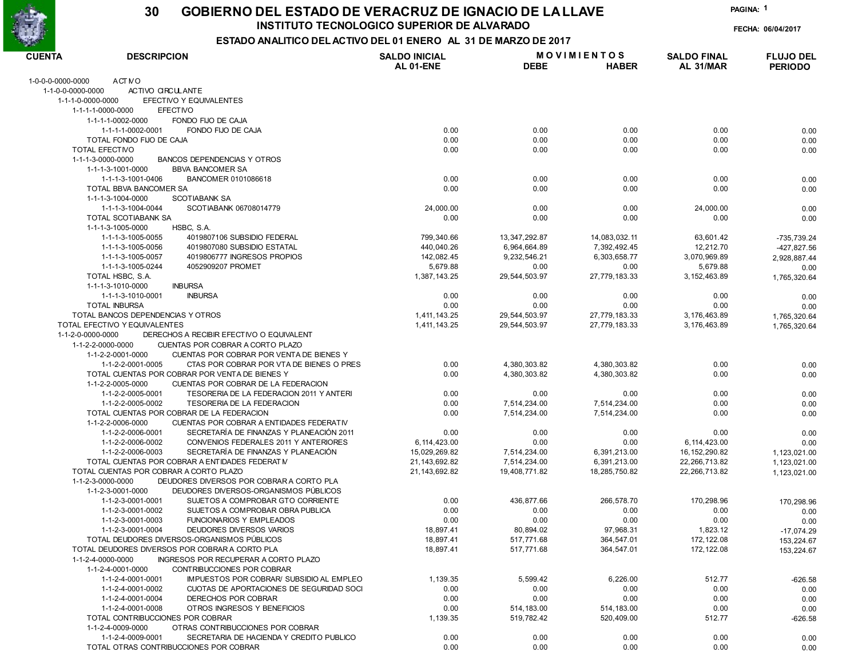

#### GOBIERNO DEL ESTADO DE VERACRUZ DE IGNACIO DE LA LLAVE 30

INSTITUTO TECNOLOGICO SUPERIOR DE ALVARADO

PAGINA: 1

FECHA: 06/04/2017

| <b>CUENTA</b>     | <b>DESCRIPCION</b>                                                                                              | <b>SALDO INICIAL</b> |                      | <b>MOVIMIENTOS</b>   | <b>SALDO FINAL</b> | <b>FLUJO DEL</b>           |
|-------------------|-----------------------------------------------------------------------------------------------------------------|----------------------|----------------------|----------------------|--------------------|----------------------------|
|                   |                                                                                                                 | AL 01-ENE            | <b>DEBE</b>          | <b>HABER</b>         | AL 31/MAR          | <b>PERIODO</b>             |
| 1-0-0-0-0000-0000 | <b>ACT NO</b>                                                                                                   |                      |                      |                      |                    |                            |
| 1-1-0-0-0000-0000 | ACTIVO CIRCULANTE                                                                                               |                      |                      |                      |                    |                            |
| 1-1-1-0-0000-0000 | EFECTIVO Y EQUIVALENTES                                                                                         |                      |                      |                      |                    |                            |
|                   | 1-1-1-1-0000-0000<br><b>EFECTIVO</b>                                                                            |                      |                      |                      |                    |                            |
|                   | 1-1-1-1-0002-0000<br>FONDO FIJO DE CAJA                                                                         |                      |                      |                      |                    |                            |
|                   | 1-1-1-1-0002-0001<br>FONDO FIJO DE CAJA                                                                         | 0.00                 | 0.00                 | 0.00                 | 0.00               | 0.00                       |
|                   | TOTAL FONDO FIJO DE CAJA                                                                                        | 0.00                 | 0.00                 | 0.00                 | 0.00               | 0.00                       |
|                   | <b>TOTAL EFECTIVO</b>                                                                                           | 0.00                 | 0.00                 | 0.00                 | 0.00               | 0.00                       |
|                   | <b>BANCOS DEPENDENCIAS Y OTROS</b><br>1-1-1-3-0000-0000                                                         |                      |                      |                      |                    |                            |
|                   | 1-1-1-3-1001-0000<br><b>BBVA BANCOMER SA</b>                                                                    |                      |                      |                      |                    |                            |
|                   | 1-1-1-3-1001-0406<br>BANCOMER 0101086618                                                                        | 0.00                 | 0.00                 | 0.00                 | 0.00               | 0.00                       |
|                   | <b>TOTAL BBVA BANCOMER SA</b>                                                                                   | 0.00                 | 0.00                 | 0.00                 | 0.00               | 0.00                       |
|                   | 1-1-1-3-1004-0000<br><b>SCOTIABANK SA</b>                                                                       |                      |                      |                      |                    |                            |
|                   | 1-1-1-3-1004-0044<br>SCOTIABANK 06708014779                                                                     | 24,000.00            | 0.00                 | 0.00                 | 24,000.00          | 0.00                       |
|                   | TOTAL SCOTIABANK SA                                                                                             | 0.00                 | 0.00                 | 0.00                 | 0.00               | 0.00                       |
|                   | 1-1-1-3-1005-0000<br>HSBC, S.A.<br>4019807106 SUBSIDIO FEDERAL                                                  |                      |                      |                      |                    |                            |
|                   | 1-1-1-3-1005-0055                                                                                               | 799,340.66           | 13, 347, 292.87      | 14,083,032.11        | 63,601.42          | -735,739.24                |
|                   | 1-1-1-3-1005-0056<br>4019807080 SUBSIDIO ESTATAL                                                                | 440,040.26           | 6,964,664.89         | 7,392,492.45         | 12,212.70          | -427,827.56                |
|                   | 1-1-1-3-1005-0057<br>4019806777 INGRESOS PROPIOS                                                                | 142,082.45           | 9,232,546.21         | 6,303,658.77         | 3,070,969.89       | 2,928,887.44               |
|                   | 1-1-1-3-1005-0244<br>4052909207 PROMET                                                                          | 5,679.88             | 0.00                 | 0.00                 | 5,679.88           | 0.00                       |
|                   | TOTAL HSBC, S.A.                                                                                                | 1,387,143.25         | 29, 544, 503.97      | 27,779,183.33        | 3, 152, 463.89     | 1,765,320.64               |
|                   | 1-1-1-3-1010-0000<br><b>INBURSA</b>                                                                             |                      |                      |                      |                    |                            |
|                   | 1-1-1-3-1010-0001<br><b>INBURSA</b>                                                                             | 0.00                 | 0.00                 | 0.00                 | 0.00               | 0.00                       |
|                   | <b>TOTAL INBURSA</b>                                                                                            | 0.00                 | 0.00                 | 0.00                 | 0.00               | 0.00                       |
|                   | TOTAL BANCOS DEPENDENCIAS Y OTROS<br>TOTAL EFECTIVO Y EQUIVALENTES                                              | 1,411,143.25         | 29, 544, 503. 97     | 27,779,183.33        | 3,176,463.89       | 1,765,320.64               |
| 1-1-2-0-0000-0000 | DERECHOS A RECIBIR EFECTIVO O EQUIVALENT                                                                        | 1,411,143.25         | 29, 544, 503. 97     | 27,779,183.33        | 3,176,463.89       | 1,765,320.64               |
|                   | CUENTAS POR COBRAR A CORTO PLAZO                                                                                |                      |                      |                      |                    |                            |
|                   | 1-1-2-2-0000-0000                                                                                               |                      |                      |                      |                    |                            |
|                   | 1-1-2-2-0001-0000<br>CUENTAS POR COBRAR POR VENTA DE BIENES Y                                                   | 0.00                 |                      | 4,380,303.82         | 0.00               |                            |
|                   | 1-1-2-2-0001-0005<br>CTAS POR COBRAR POR VTA DE BIENES O PRES<br>TOTAL CUENTAS POR COBRAR POR VENTA DE BIENES Y |                      | 4,380,303.82         |                      |                    | 0.00                       |
|                   |                                                                                                                 | 0.00                 | 4,380,303.82         | 4,380,303.82         | 0.00               | 0.00                       |
|                   | 1-1-2-2-0005-0000<br>CUENTAS POR COBRAR DE LA FEDERACION<br>1-1-2-2-0005-0001                                   |                      |                      |                      |                    |                            |
|                   | TESORERIA DE LA FEDERACION 2011 Y ANTERI<br>TESORERIA DE LA FEDERACION<br>1-1-2-2-0005-0002                     | 0.00<br>0.00         | 0.00<br>7,514,234.00 | 0.00<br>7,514,234.00 | 0.00<br>0.00       | 0.00                       |
|                   | TOTAL CUENTAS POR COBRAR DE LA FEDERACION                                                                       | 0.00                 | 7,514,234.00         | 7,514,234.00         | 0.00               | 0.00                       |
|                   | CUENTAS POR COBRAR A ENTIDADES FEDERATIV<br>1-1-2-2-0006-0000                                                   |                      |                      |                      |                    | 0.00                       |
|                   | SECRETARÍA DE FINANZAS Y PLANEACIÓN 2011<br>1-1-2-2-0006-0001                                                   | 0.00                 | 0.00                 | 0.00                 | 0.00               |                            |
|                   | CONVENIOS FEDERALES 2011 Y ANTERIORES<br>1-1-2-2-0006-0002                                                      | 6, 114, 423.00       | 0.00                 | 0.00                 | 6, 114, 423.00     | 0.00                       |
|                   | SECRETARÍA DE FINANZAS Y PLANEACIÓN<br>1-1-2-2-0006-0003                                                        | 15,029,269.82        | 7,514,234.00         | 6,391,213.00         | 16, 152, 290.82    | 0.00                       |
|                   | TOTAL CUENTAS POR COBRAR A ENTIDADES FEDERAT IV                                                                 | 21, 143, 692.82      | 7,514,234.00         | 6,391,213.00         | 22,266,713.82      | 1,123,021.00               |
|                   | TOTAL CUENTAS POR COBRAR A CORTO PLAZO                                                                          | 21, 143, 692.82      | 19,408,771.82        | 18,285,750.82        | 22.266.713.82      | 1,123,021.00               |
|                   | DEUDORES DIVERSOS POR COBRAR A CORTO PLA<br>1-1-2-3-0000-0000                                                   |                      |                      |                      |                    | 1,123,021.00               |
|                   | DEUDORES DIVERSOS-ORGANISMOS PÚBLICOS<br>1-1-2-3-0001-0000                                                      |                      |                      |                      |                    |                            |
|                   | SUJETOS A COMPROBAR GTO CORRIENTE<br>1-1-2-3-0001-0001                                                          | 0.00                 | 436,877.66           | 266,578.70           | 170,298.96         |                            |
|                   | 1-1-2-3-0001-0002<br>SUJETOS A COMPROBAR OBRA PUBLICA                                                           | 0.00                 | 0.00                 | 0.00                 | 0.00               | 170,298.96                 |
|                   | 1-1-2-3-0001-0003<br><b>FUNCIONARIOS Y EMPLEADOS</b>                                                            | 0.00                 | 0.00                 | 0.00                 | 0.00               | 0.00                       |
|                   | DEUDORES DIVERSOS VARIOS<br>1-1-2-3-0001-0004                                                                   | 18,897.41            | 80,894.02            | 97,968.31            | 1,823.12           | 0.00                       |
|                   | TOTAL DEUDORES DIVERSOS-ORGANISMOS PÚBLICOS                                                                     | 18,897.41            | 517,771.68           | 364,547.01           | 172, 122.08        | $-17,074.29$<br>153,224.67 |
|                   | TOTAL DEUDORES DIVERSOS POR COBRAR A CORTO PLA                                                                  | 18,897.41            | 517.771.68           | 364,547.01           | 172, 122.08        |                            |
|                   | 1-1-2-4-0000-0000<br><b>INGRESOS POR RECUPERAR A CORTO PLAZO</b>                                                |                      |                      |                      |                    | 153,224.67                 |
|                   | 1-1-2-4-0001-0000<br>CONTRIBUCCIONES POR COBRAR                                                                 |                      |                      |                      |                    |                            |
|                   | 1-1-2-4-0001-0001<br>IMPUESTOS POR COBRAR/ SUBSIDIO AL EMPLEO                                                   | 1,139.35             | 5,599.42             | 6,226.00             | 512.77             |                            |
|                   | 1-1-2-4-0001-0002<br>CUOTAS DE APORTACIONES DE SEGURIDAD SOCI                                                   | 0.00                 | 0.00                 | 0.00                 | 0.00               | $-626.58$                  |
|                   | 1-1-2-4-0001-0004<br>DERECHOS POR COBRAR                                                                        | 0.00                 | 0.00                 | 0.00                 | 0.00               | 0.00                       |
|                   | 1-1-2-4-0001-0008<br>OTROS INGRESOS Y BENEFICIOS                                                                | 0.00                 | 514, 183.00          | 514,183.00           | 0.00               | 0.00                       |
|                   | TOTAL CONTRIBUCCIONES POR COBRAR                                                                                | 1,139.35             | 519,782.42           | 520,409.00           | 512.77             | 0.00                       |
|                   | 1-1-2-4-0009-0000<br>OTRAS CONTRIBUCCIONES POR COBRAR                                                           |                      |                      |                      |                    | $-626.58$                  |
|                   | 1-1-2-4-0009-0001<br>SECRETARIA DE HACIENDA Y CREDITO PUBLICO                                                   | 0.00                 | 0.00                 | 0.00                 | 0.00               |                            |
|                   | TOTAL OTRAS CONTRIBUCCIONES POR COBRAR                                                                          | 0.00                 | 0.00                 | 0.00                 | 0.00               | 0.00<br>0.00               |
|                   |                                                                                                                 |                      |                      |                      |                    |                            |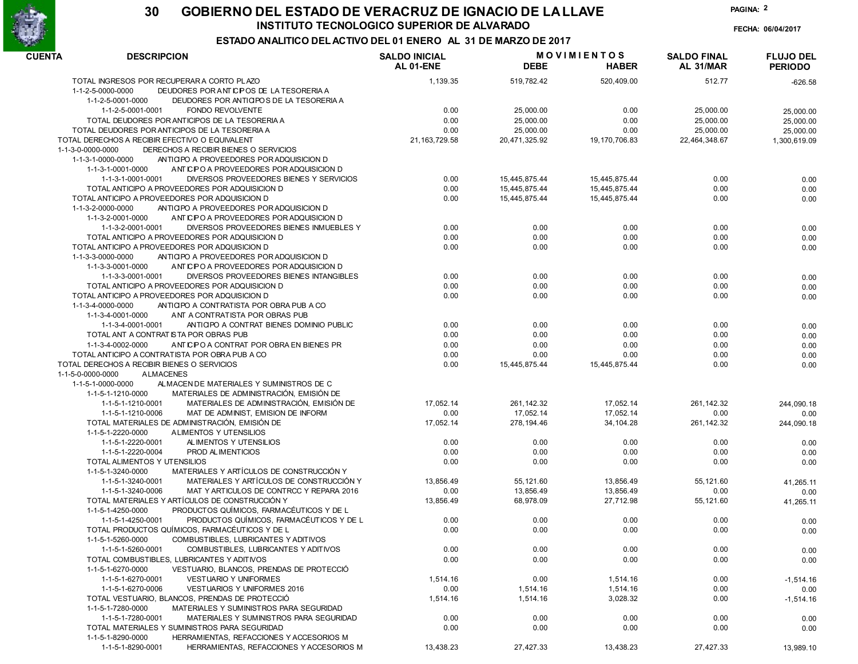

FECHA: 06/04/2017

PAGINA: 2

| <b>CUENTA</b><br><b>DESCRIPCION</b>                           |                                          | <b>SALDO INICIAL</b><br>AL 01-ENE | <b>DEBE</b>   | <b>MOVIMIENTOS</b><br><b>HABER</b> | <b>SALDO FINAL</b><br>AL 31/MAR | <b>FLUJO DEL</b><br><b>PERIODO</b> |
|---------------------------------------------------------------|------------------------------------------|-----------------------------------|---------------|------------------------------------|---------------------------------|------------------------------------|
| TOTAL INGRESOS POR RECUPERAR A CORTO PLAZO                    |                                          | 1,139.35                          | 519,782.42    | 520,409.00                         | 512.77                          | $-626.58$                          |
| 1-1-2-5-0000-0000                                             | DEUDORES POR ANTICIPOS DE LA TESORERIA A |                                   |               |                                    |                                 |                                    |
| 1-1-2-5-0001-0000                                             | DEUDORES POR ANTICIPOS DE LA TESORERIA A |                                   |               |                                    |                                 |                                    |
| <b>FONDO REVOLVENTE</b><br>1-1-2-5-0001-0001                  |                                          | 0.00                              | 25,000.00     | 0.00                               | 25,000.00                       | 25,000.00                          |
| TOTAL DEUDORES POR ANTICIPOS DE LA TESORERIA A                |                                          | 0.00                              | 25,000.00     | 0.00                               | 25,000.00                       | 25,000.00                          |
| TOTAL DEUDORES POR ANTICIPOS DE LA TESORERIA A                |                                          | 0.00                              | 25,000.00     | 0.00                               | 25,000.00                       | 25,000.00                          |
| TOTAL DERECHOS A RECIBIR EFECTIVO O EQUIVALENT                |                                          | 21, 163, 729.58                   | 20,471,325.92 | 19, 170, 706.83                    | 22,464,348.67                   | 1,300,619.09                       |
| DERECHOS A RECIBIR BIENES O SERVICIOS<br>1-1-3-0-0000-0000    |                                          |                                   |               |                                    |                                 |                                    |
| 1-1-3-1-0000-0000                                             | ANTICIPO A PROVEEDORES POR ADQUISICION D |                                   |               |                                    |                                 |                                    |
| 1-1-3-1-0001-0000                                             | ANTICIPO A PROVEEDORES POR ADQUISICION D |                                   |               |                                    |                                 |                                    |
| 1-1-3-1-0001-0001                                             | DIVERSOS PROVEEDORES BIENES Y SERVICIOS  | 0.00                              | 15,445,875.44 | 15,445,875.44                      | 0.00                            | 0.00                               |
| TOTAL ANTICIPO A PROVEEDORES POR ADQUISICION D                |                                          | 0.00                              | 15,445,875.44 | 15,445,875.44                      | 0.00                            | 0.00                               |
| TOTAL ANTICIPO A PROVEEDORES POR ADQUISICION D                |                                          | 0.00                              | 15,445,875.44 | 15,445,875.44                      | 0.00                            | 0.00                               |
| 1-1-3-2-0000-0000                                             | ANTICIPO A PROVEEDORES POR ADQUISICION D |                                   |               |                                    |                                 |                                    |
| 1-1-3-2-0001-0000                                             | ANTICIPO A PROVEEDORES POR ADQUISICION D |                                   |               |                                    |                                 |                                    |
| 1-1-3-2-0001-0001                                             | DIVERSOS PROVEEDORES BIENES INMUEBLES Y  | 0.00                              | 0.00          | 0.00                               | 0.00                            | 0.00                               |
| TOTAL ANTICIPO A PROVEEDORES POR ADQUISICION D                |                                          | 0.00                              | 0.00          | 0.00                               | 0.00                            | 0.00                               |
| TOTAL ANTICIPO A PROVEEDORES POR ADQUISICION D                |                                          | 0.00                              | 0.00          | 0.00                               | 0.00                            | 0.00                               |
| 1-1-3-3-0000-0000                                             | ANTICIPO A PROVEEDORES POR ADQUISICION D |                                   |               |                                    |                                 |                                    |
| 1-1-3-3-0001-0000                                             | ANTICIPO A PROVEEDORES POR ADQUISICION D |                                   |               |                                    |                                 |                                    |
| 1-1-3-3-0001-0001                                             | DIVERSOS PROVEEDORES BIENES INTANGIBLES  | 0.00                              | 0.00          | 0.00                               | 0.00                            | 0.00                               |
| TOTAL ANTICIPO A PROVEEDORES POR ADQUISICION D                |                                          | 0.00                              | 0.00          | 0.00                               | 0.00                            | 0.00                               |
| TOTAL ANTICIPO A PROVEEDORES POR ADQUISICION D                |                                          | 0.00                              | 0.00          | 0.00                               | 0.00                            | 0.00                               |
| ANTICIPO A CONTRATISTA POR OBRA PUB A CO<br>1-1-3-4-0000-0000 |                                          |                                   |               |                                    |                                 |                                    |
| 1-1-3-4-0001-0000<br>ANT A CONTRATISTA POR OBRAS PUB          |                                          |                                   |               |                                    |                                 |                                    |
| 1-1-3-4-0001-0001                                             | ANTICIPO A CONTRAT BIENES DOMINIO PUBLIC | 0.00                              | 0.00          | 0.00                               | 0.00                            | 0.00                               |
| TOTAL ANT A CONTRAT IS TA POR OBRAS PUB                       |                                          | 0.00                              | 0.00          | 0.00                               | 0.00                            | 0.00                               |
| 1-1-3-4-0002-0000                                             | ANTICPO A CONTRAT POR OBRA EN BIENES PR  | 0.00                              | 0.00          | 0.00                               | 0.00                            | 0.00                               |
| TOTAL ANTICIPO A CONTRATISTA POR OBRA PUB A CO                |                                          | 0.00                              | 0.00          | 0.00                               | 0.00                            | 0.00                               |
| TOTAL DERECHOS A RECIBIR BIENES O SERVICIOS                   |                                          | 0.00                              | 15,445,875.44 | 15,445,875.44                      | 0.00                            | 0.00                               |
| <b>ALMACENES</b><br>1-1-5-0-0000-0000                         |                                          |                                   |               |                                    |                                 |                                    |
| 1-1-5-1-0000-0000                                             | ALMACEN DE MATERIALES Y SUMINISTROS DE C |                                   |               |                                    |                                 |                                    |
| 1-1-5-1-1210-0000                                             | MATERIALES DE ADMINISTRACIÓN, EMISIÓN DE |                                   |               |                                    |                                 |                                    |
| 1-1-5-1-1210-0001                                             | MATERIALES DE ADMINISTRACIÓN, EMISIÓN DE | 17,052.14                         | 261, 142. 32  | 17,052.14                          | 261, 142.32                     | 244,090.18                         |
| 1-1-5-1-1210-0006                                             | MAT DE ADMINIST, EMISION DE INFORM       | 0.00                              | 17,052.14     | 17,052.14                          | 0.00                            | 0.00                               |
| TOTAL MATERIALES DE ADMINISTRACIÓN, EMISIÓN DE                |                                          | 17,052.14                         | 278, 194.46   | 34, 104. 28                        | 261, 142.32                     | 244,090.18                         |
| 1-1-5-1-2220-0000<br>ALIMENTOS Y UTENSILIOS                   |                                          |                                   |               |                                    |                                 |                                    |
| ALIMENTOS Y UTENSILIOS<br>1-1-5-1-2220-0001                   |                                          | 0.00                              | 0.00          | 0.00                               | 0.00                            | 0.00                               |
| 1-1-5-1-2220-0004<br>PROD ALIMENTICIOS                        |                                          | 0.00                              | 0.00          | 0.00                               | 0.00                            | 0.00                               |
| TOTAL ALIMENTOS Y UTENSILIOS                                  |                                          | 0.00                              | 0.00          | 0.00                               | 0.00                            | 0.00                               |
| 1-1-5-1-3240-0000                                             | MATERIALES Y ARTÍCULOS DE CONSTRUCCIÓN Y |                                   |               |                                    |                                 |                                    |
| 1-1-5-1-3240-0001                                             | MATERIALES Y ARTÍCULOS DE CONSTRUCCIÓN Y | 13,856.49                         | 55,121.60     | 13,856.49                          | 55, 121.60                      | 41,265.11                          |
| 1-1-5-1-3240-0006                                             | MAT Y ARTICULOS DE CONTRCC Y REPARA 2016 | 0.00                              | 13,856.49     | 13,856.49                          | 0.00                            | 0.00                               |
| TOTAL MATERIALES Y ARTÍCULOS DE CONSTRUCCIÓN Y                |                                          | 13,856.49                         | 68,978.09     | 27,712.98                          | 55, 121.60                      | 41,265.11                          |
| 1-1-5-1-4250-0000                                             | PRODUCTOS QUÍMICOS, FARMACÉUTICOS Y DE L |                                   |               |                                    |                                 |                                    |
| 1-1-5-1-4250-0001                                             | PRODUCTOS QUÍMICOS. FARMACÉUTICOS Y DE L | 0.00                              | 0.00          | 0.00                               | 0.00                            | 0.00                               |
| TOTAL PRODUCTOS QUÍMICOS. FARMACÉUTICOS Y DE L                |                                          | 0.00                              | 0.00          | 0.00                               | 0.00                            | 0.00                               |
| 1-1-5-1-5260-0000                                             | COMBUSTIBLES, LUBRICANTES Y ADITIVOS     |                                   |               |                                    |                                 |                                    |
| 1-1-5-1-5260-0001                                             | COMBUSTIBLES, LUBRICANTES Y ADITIVOS     | 0.00                              | 0.00          | 0.00                               | 0.00                            | 0.00                               |
| TOTAL COMBUSTIBLES, LUBRICANTES Y ADITIVOS                    |                                          | 0.00                              | 0.00          | 0.00                               | 0.00                            | 0.00                               |
| 1-1-5-1-6270-0000                                             | VESTUARIO, BLANCOS, PRENDAS DE PROTECCIÓ |                                   |               |                                    |                                 |                                    |
| 1-1-5-1-6270-0001<br><b>VESTUARIO Y UNIFORMES</b>             |                                          | 1,514.16                          | 0.00          | 1,514.16                           | 0.00                            | $-1,514.16$                        |
| 1-1-5-1-6270-0006                                             | <b>VESTUARIOS Y UNIFORMES 2016</b>       | 0.00                              | 1,514.16      | 1,514.16                           | 0.00                            | 0.00                               |
| TOTAL VESTUARIO, BLANCOS, PRENDAS DE PROTECCIÓ                |                                          | 1,514.16                          | 1,514.16      | 3,028.32                           | 0.00                            | $-1,514.16$                        |
| 1-1-5-1-7280-0000                                             | MATERIALES Y SUMINISTROS PARA SEGURIDAD  |                                   |               |                                    |                                 |                                    |
| 1-1-5-1-7280-0001                                             | MATERIALES Y SUMINISTROS PARA SEGURIDAD  | 0.00                              | 0.00          | 0.00                               | 0.00                            | 0.00                               |
| TOTAL MATERIALES Y SUMINISTROS PARA SEGURIDAD                 |                                          | 0.00                              | 0.00          | 0.00                               | 0.00                            | 0.00                               |
| 1-1-5-1-8290-0000                                             | HERRAMIENTAS, REFACCIONES Y ACCESORIOS M |                                   |               |                                    |                                 |                                    |
| 1-1-5-1-8290-0001                                             | HERRAMIENTAS, REFACCIONES Y ACCESORIOS M | 13,438.23                         | 27,427.33     | 13,438.23                          | 27,427.33                       | 13,989.10                          |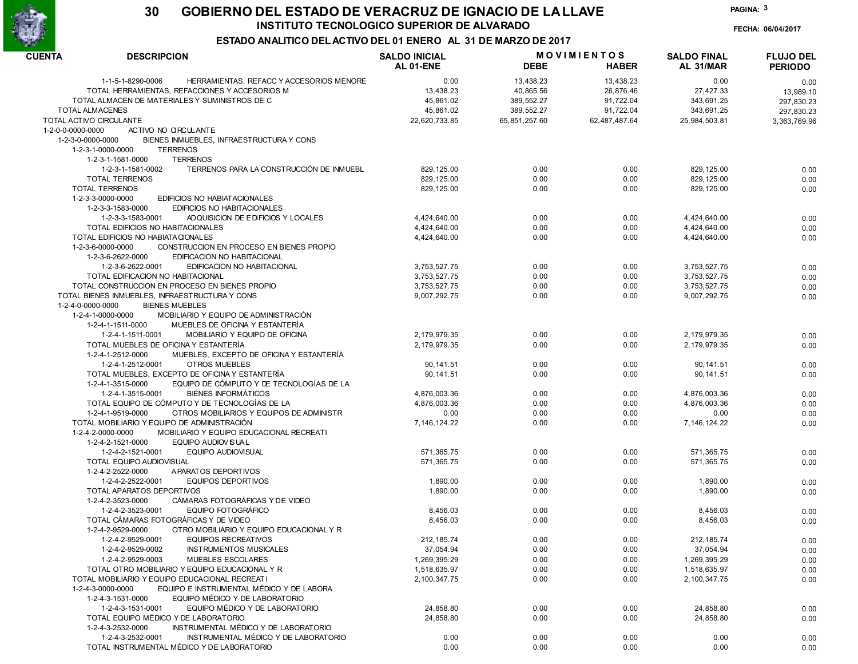

FECHA: 06/04/2017

PAGINA: 3

| <b>CUENTA</b>           | <b>DESCRIPCION</b>                                            | <b>SALDO INICIAL</b><br>AL 01-ENE | <b>DEBE</b>   | <b>MOVIMIENTOS</b><br><b>HABER</b> | <b>SALDO FINAL</b><br>AL 31/MAR | <b>FLUJO DEL</b><br><b>PERIODO</b> |
|-------------------------|---------------------------------------------------------------|-----------------------------------|---------------|------------------------------------|---------------------------------|------------------------------------|
|                         | 1-1-5-1-8290-0006<br>HERRAMIENTAS, REFACC Y ACCESORIOS MENORE | 0.00                              | 13,438.23     | 13,438.23                          | 0.00                            | 0.00                               |
|                         | TOTAL HERRAMIENTAS, REFACCIONES Y ACCESORIOS M                | 13,438.23                         | 40,865.56     | 26,876.46                          | 27,427.33                       | 13,989.10                          |
|                         | TOTAL ALMACEN DE MATERIALES Y SUMINISTROS DE C                | 45,861.02                         | 389,552.27    | 91,722.04                          | 343,691.25                      | 297,830.23                         |
| <b>TOTAL ALMACENES</b>  |                                                               | 45,861.02                         | 389,552.27    | 91,722.04                          | 343,691.25                      | 297,830.23                         |
| TOTAL ACTIVO CIRCULANTE |                                                               | 22,620,733.85                     | 65,851,257.60 | 62,487,487.64                      | 25,984,503.81                   | 3.363.769.96                       |
| 1-2-0-0-0000-0000       | ACTIVO NO CIRCULANTE                                          |                                   |               |                                    |                                 |                                    |
| 1-2-3-0-0000-0000       | BIENES INMUEBLES, INFRAESTRUCTURA Y CONS                      |                                   |               |                                    |                                 |                                    |
|                         | 1-2-3-1-0000-0000<br><b>TERRENOS</b>                          |                                   |               |                                    |                                 |                                    |
|                         | <b>TERRENOS</b><br>1-2-3-1-1581-0000                          |                                   |               |                                    |                                 |                                    |
|                         | 1-2-3-1-1581-0002<br>TERRENOS PARA LA CONSTRUCCIÓN DE INMUEBL | 829, 125.00                       | 0.00          | 0.00                               | 829, 125.00                     | 0.00                               |
|                         | <b>TOTAL TERRENOS</b>                                         | 829, 125.00                       | 0.00          | 0.00                               | 829, 125.00                     | 0.00                               |
|                         | <b>TOTAL TERRENOS</b>                                         | 829, 125.00                       | 0.00          | 0.00                               | 829, 125.00                     | 0.00                               |
|                         | 1-2-3-3-0000-0000<br>EDIFICIOS NO HABIATACIONALES             |                                   |               |                                    |                                 |                                    |
|                         | EDIFICIOS NO HABITACIONALES<br>1-2-3-3-1583-0000              |                                   |               |                                    |                                 |                                    |
|                         | 1-2-3-3-1583-0001<br>ADQUISICION DE EDIFICIOS Y LOCALES       | 4,424,640.00                      | 0.00          | 0.00                               | 4,424,640.00                    | 0.00                               |
|                         | TOTAL EDIFICIOS NO HABITACIONALES                             | 4,424,640.00                      | 0.00          | 0.00                               | 4,424,640.00                    | 0.00                               |
|                         | TOTAL EDIFICIOS NO HABIATA CIONALES                           | 4,424,640.00                      | 0.00          | 0.00                               | 4,424,640.00                    | 0.00                               |
|                         | 1-2-3-6-0000-0000<br>CONSTRUCCION EN PROCESO EN BIENES PROPIO |                                   |               |                                    |                                 |                                    |
|                         | 1-2-3-6-2622-0000<br>EDIFICACION NO HABITACIONAL              |                                   |               |                                    |                                 |                                    |
|                         | 1-2-3-6-2622-0001<br>EDIFICACION NO HABITACIONAL              | 3,753,527.75                      | 0.00          | 0.00                               | 3,753,527.75                    | 0.00                               |
|                         | TOTAL EDIFICACION NO HABITACIONAL                             | 3,753,527.75                      | 0.00          | 0.00                               | 3,753,527.75                    | 0.00                               |
|                         | TOTAL CONSTRUCCION EN PROCESO EN BIENES PROPIO                | 3,753,527.75                      | 0.00          | 0.00                               | 3,753,527.75                    | 0.00                               |
|                         | TOTAL BIENES INMUEBLES, INFRAESTRUCTURA Y CONS                | 9,007,292.75                      | 0.00          | 0.00                               | 9.007.292.75                    | 0.00                               |
| 1-2-4-0-0000-0000       | <b>BIENES MUEBLES</b>                                         |                                   |               |                                    |                                 |                                    |
|                         | MOBILIARIO Y EQUIPO DE ADMINISTRACIÓN<br>1-2-4-1-0000-0000    |                                   |               |                                    |                                 |                                    |
|                         | 1-2-4-1-1511-0000<br>MUEBLES DE OFICINA Y ESTANTERÍA          |                                   |               |                                    |                                 |                                    |
|                         | 1-2-4-1-1511-0001<br>MOBILIARIO Y EQUIPO DE OFICINA           | 2,179,979.35                      | 0.00          | 0.00                               | 2,179,979.35                    | 0.00                               |
|                         | TOTAL MUEBLES DE OFICINA Y ESTANTERÍA                         | 2.179.979.35                      | 0.00          | 0.00                               | 2,179,979.35                    | 0.00                               |
|                         | MUEBLES, EXCEPTO DE OFICINA Y ESTANTERÍA<br>1-2-4-1-2512-0000 |                                   |               |                                    |                                 |                                    |
|                         | OTROS MUEBLES<br>1-2-4-1-2512-0001                            | 90, 141.51                        | 0.00          | 0.00                               | 90, 141.51                      | 0.00                               |
|                         | TOTAL MUEBLES, EXCEPTO DE OFICINA Y ESTANTERÍA                | 90, 141.51                        | 0.00          | 0.00                               | 90, 141.51                      | 0.00                               |
|                         | EQUIPO DE CÓMPUTO Y DE TECNOLOGÍAS DE LA<br>1-2-4-1-3515-0000 |                                   |               |                                    |                                 |                                    |
|                         | <b>BIENES INFORMÁTICOS</b><br>1-2-4-1-3515-0001               | 4,876,003.36                      | 0.00          | 0.00                               | 4,876,003.36                    | 0.00                               |
|                         | TOTAL EQUIPO DE CÓMPUTO Y DE TECNOLOGÍAS DE LA                | 4,876,003.36                      | 0.00          | 0.00                               | 4,876,003.36                    | 0.00                               |
|                         | OTROS MOBILIARIOS Y EQUIPOS DE ADMINISTR<br>1-2-4-1-9519-0000 | 0.00                              | 0.00          | 0.00                               | 0.00                            | 0.00                               |
|                         | TOTAL MOBILIARIO Y EQUIPO DE ADMINISTRACIÓN                   | 7, 146, 124. 22                   | 0.00          | 0.00                               | 7, 146, 124. 22                 | 0.00                               |
|                         | MOBILIARIO Y EQUIPO EDUCACIONAL RECREATI<br>1-2-4-2-0000-0000 |                                   |               |                                    |                                 |                                    |
|                         | EQUIPO AUDIOV IS UAL<br>1-2-4-2-1521-0000                     |                                   |               |                                    |                                 |                                    |
|                         | 1-2-4-2-1521-0001<br>EQUIPO AUDIOVISUAL                       | 571,365.75                        | 0.00          | 0.00                               | 571,365.75                      | 0.00                               |
|                         | TOTAL EQUIPO AUDIOVISUAL                                      | 571,365.75                        | 0.00          | 0.00                               | 571,365.75                      |                                    |
|                         | APARATOS DEPORTIVOS<br>1-2-4-2-2522-0000                      |                                   |               |                                    |                                 | 0.00                               |
|                         | 1-2-4-2-2522-0001<br><b>EQUIPOS DEPORTIVOS</b>                | 1,890.00                          | 0.00          | 0.00                               | 1,890.00                        |                                    |
|                         | TOTAL APARATOS DEPORTIVOS                                     | 1,890.00                          | 0.00          | 0.00                               | 1.890.00                        | 0.00                               |
|                         | CÁMARAS FOTOGRÁFICAS Y DE VIDEO<br>1-2-4-2-3523-0000          |                                   |               |                                    |                                 | 0.00                               |
|                         | EQUIPO FOTOGRÁFICO<br>1-2-4-2-3523-0001                       |                                   |               |                                    |                                 |                                    |
|                         | TOTAL CÁMARAS FOTOGRÁFICAS Y DE VIDEO                         | 8,456.03                          | 0.00          | 0.00                               | 8,456.03                        | 0.00                               |
|                         | OTRO MOBILIARIO Y EQUIPO EDUCACIONAL Y R                      | 8,456.03                          | 0.00          | 0.00                               | 8,456.03                        | 0.00                               |
|                         | 1-2-4-2-9529-0000                                             |                                   |               |                                    |                                 |                                    |
|                         | 1-2-4-2-9529-0001<br>EQUIPOS RECREATIVOS<br>1-2-4-2-9529-0002 | 212, 185.74                       | 0.00          | 0.00                               | 212, 185.74                     | 0.00                               |
|                         | INSTRUMENTOS MUSICALES                                        | 37,054.94                         | 0.00          | 0.00                               | 37,054.94                       | 0.00                               |
|                         | 1-2-4-2-9529-0003<br><b>MUEBLES ESCOLARES</b>                 | 1,269,395.29                      | 0.00          | 0.00                               | 1,269,395.29                    | 0.00                               |
|                         | TOTAL OTRO MOBILIARIO Y EQUIPO EDUCACIONAL Y R                | 1,518,635.97                      | 0.00          | 0.00                               | 1,518,635.97                    | 0.00                               |
|                         | TOTAL MOBILIARIO Y EQUIPO EDUCACIONAL RECREAT I               | 2,100,347.75                      | 0.00          | 0.00                               | 2,100,347.75                    | 0.00                               |
|                         | EQUIPO E INSTRUMENTAL MÉDICO Y DE LABORA<br>1-2-4-3-0000-0000 |                                   |               |                                    |                                 |                                    |
|                         | EQUIPO MÉDICO Y DE LABORATORIO<br>1-2-4-3-1531-0000           |                                   |               |                                    |                                 |                                    |
|                         | EQUIPO MÉDICO Y DE LABORATORIO<br>1-2-4-3-1531-0001           | 24,858.80                         | 0.00          | 0.00                               | 24,858.80                       | 0.00                               |
|                         | TOTAL EQUIPO MÉDICO Y DE LABORATORIO                          | 24,858.80                         | 0.00          | 0.00                               | 24,858.80                       | 0.00                               |
|                         | INSTRUMENTAL MÉDICO Y DE LABORATORIO<br>1-2-4-3-2532-0000     |                                   |               |                                    |                                 |                                    |
|                         | INSTRUMENTAL MÉDICO Y DE LABORATORIO<br>1-2-4-3-2532-0001     | 0.00                              | 0.00          | 0.00                               | 0.00                            | 0.00                               |
|                         | TOTAL INSTRUMENTAL MÉDICO Y DE LABORATORIO                    | 0.00                              | 0.00          | 0.00                               | 0.00                            | 0.00                               |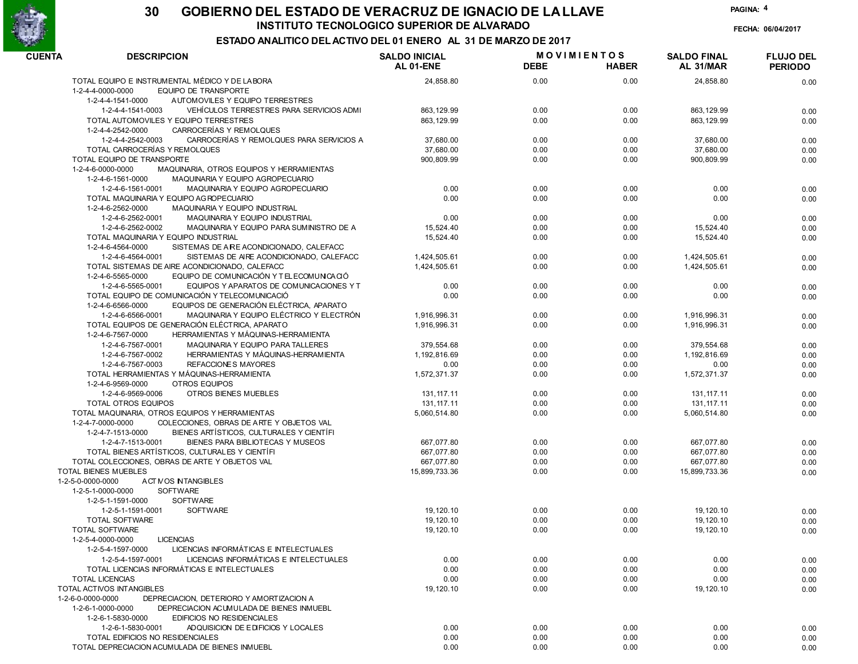

FECHA: 06/04/2017

PAGINA: 4

| <b>CUENTA</b><br><b>DESCRIPCION</b>                           |                                          | <b>SALDO INICIAL</b> | <b>MOVIMIENTOS</b> |              | <b>SALDO FINAL</b> | <b>FLUJO DEL</b> |
|---------------------------------------------------------------|------------------------------------------|----------------------|--------------------|--------------|--------------------|------------------|
|                                                               |                                          | <b>AL 01-ENE</b>     | <b>DEBE</b>        | <b>HABER</b> | AL 31/MAR          | <b>PERIODO</b>   |
| TOTAL EQUIPO E INSTRUMENTAL MÉDICO Y DE LABORA                |                                          | 24,858.80            | 0.00               | 0.00         | 24,858.80          | 0.00             |
| EQUIPO DE TRANSPORTE<br>1-2-4-4-0000-0000                     |                                          |                      |                    |              |                    |                  |
| 1-2-4-4-1541-0000<br>AUTOMOVILES Y EQUIPO TERRESTRES          |                                          |                      |                    |              |                    |                  |
| 1-2-4-4-1541-0003                                             | VEHÍCULOS TERRESTRES PARA SERVICIOS ADMI | 863, 129.99          | 0.00               | 0.00         | 863, 129.99        | 0.00             |
| TOTAL AUTOMOVILES Y EQUIPO TERRESTRES                         |                                          | 863, 129.99          | 0.00               | 0.00         | 863, 129.99        | 0.00             |
| 1-2-4-4-2542-0000<br>CARROCERÍAS Y REMOLQUES                  |                                          |                      |                    |              |                    |                  |
| 1-2-4-4-2542-0003                                             | CARROCERÍAS Y REMOLQUES PARA SERVICIOS A | 37,680.00            | 0.00               | 0.00         | 37,680.00          | 0.00             |
| TOTAL CARROCERÍAS Y REMOLQUES                                 |                                          | 37,680.00            | 0.00               | 0.00         | 37,680.00          | 0.00             |
| TOTAL EQUIPO DE TRANSPORTE                                    |                                          | 900,809.99           | 0.00               | 0.00         | 900,809.99         | 0.00             |
| 1-2-4-6-0000-0000<br>MAQUINARIA, OTROS EQUIPOS Y HERRAMIENTAS |                                          |                      |                    |              |                    |                  |
| 1-2-4-6-1561-0000<br>MAQUINARIA Y EQUIPO AGROPECUARIO         |                                          |                      |                    |              |                    |                  |
| 1-2-4-6-1561-0001<br>MAQUINARIA Y EQUIPO AGROPECUARIO         |                                          | 0.00                 | 0.00               | 0.00         | 0.00               | 0.00             |
| TOTAL MAQUINARIA Y EQUIPO AGROPECUARIO                        |                                          | 0.00                 | 0.00               | 0.00         | 0.00               | 0.00             |
| 1-2-4-6-2562-0000<br><b>MAQUINARIA Y EQUIPO INDUSTRIAL</b>    |                                          |                      |                    |              |                    |                  |
| 1-2-4-6-2562-0001<br>MAQUINARIA Y EQUIPO INDUSTRIAL           |                                          | 0.00                 | 0.00               | 0.00         | 0.00               | 0.00             |
| 1-2-4-6-2562-0002                                             | MAQUINARIA Y EQUIPO PARA SUMINISTRO DE A | 15,524.40            | 0.00               | 0.00         | 15,524.40          | 0.00             |
| TOTAL MAQUINARIA Y EQUIPO INDUSTRIAL                          |                                          | 15,524.40            | 0.00               | 0.00         | 15,524.40          | 0.00             |
| 1-2-4-6-4564-0000<br>SISTEMAS DE A RE ACONDICIONADO, CALEFACC |                                          |                      |                    |              |                    |                  |
| 1-2-4-6-4564-0001                                             | SISTEMAS DE AIRE ACONDICIONADO, CALEFACC | 1,424,505.61         | 0.00               | 0.00         | 1,424,505.61       | 0.00             |
| TOTAL SISTEMAS DE AIRE ACONDICIONADO. CALEFACC                |                                          | 1,424,505.61         | 0.00               | 0.00         | 1,424,505.61       | 0.00             |
| 1-2-4-6-5565-0000<br>EQUIPO DE COMUNICACIÓN Y TELECOMUNICACIÓ |                                          |                      |                    |              |                    |                  |
| 1-2-4-6-5565-0001                                             | EQUIPOS Y APARATOS DE COMUNICACIONES Y T | 0.00                 | 0.00               | 0.00         | 0.00               | 0.00             |
| TOTAL EQUIPO DE COMUNICACIÓN Y TELECOMUNICACIÓ                |                                          | 0.00                 | 0.00               | 0.00         | 0.00               | 0.00             |
| EQUIPOS DE GENERACIÓN ELÉCTRICA, APARATO<br>1-2-4-6-6566-0000 |                                          |                      |                    |              |                    |                  |
| 1-2-4-6-6566-0001                                             | MAQUINARIA Y EQUIPO ELÉCTRICO Y ELECTRÓN | 1,916,996.31         | 0.00               | 0.00         | 1,916,996.31       | 0.00             |
| TOTAL EQUIPOS DE GENERACIÓN ELÉCTRICA, APARATO                |                                          | 1,916,996.31         | 0.00               | 0.00         | 1,916,996.31       | 0.00             |
| 1-2-4-6-7567-0000<br>HERRAMIENTAS Y MÁQUINAS-HERRAMIENTA      |                                          |                      |                    |              |                    |                  |
| MAQUINARIA Y EQUIPO PARA TALLERES<br>1-2-4-6-7567-0001        |                                          | 379.554.68           | 0.00               | 0.00         | 379,554.68         | 0.00             |
| HERRAMIENTAS Y MÁQUINAS-HERRAMIENTA<br>1-2-4-6-7567-0002      |                                          | 1,192,816.69         | 0.00               | 0.00         | 1,192,816.69       | 0.00             |
| REFACCIONES MAYORES<br>1-2-4-6-7567-0003                      |                                          | 0.00                 | 0.00               | 0.00         | 0.00               | 0.00             |
| TOTAL HERRAMIENTAS Y MÁQUINAS-HERRAMIENTA                     |                                          | 1,572,371.37         | 0.00               | 0.00         | 1,572,371.37       | 0.00             |
| 1-2-4-6-9569-0000<br>OTROS EQUIPOS                            |                                          |                      |                    |              |                    |                  |
| 1-2-4-6-9569-0006<br>OTROS BIENES MUEBLES                     |                                          | 131, 117. 11         | 0.00               | 0.00         | 131, 117. 11       | 0.00             |
| <b>TOTAL OTROS EQUIPOS</b>                                    |                                          | 131, 117. 11         | 0.00               | 0.00         | 131, 117. 11       | 0.00             |
| TOTAL MAQUINARIA, OTROS EQUIPOS Y HERRAMIENTAS                |                                          | 5,060,514.80         | 0.00               | 0.00         | 5,060,514.80       | 0.00             |
| COLECCIONES, OBRAS DE ARTE Y OBJETOS VAL<br>1-2-4-7-0000-0000 |                                          |                      |                    |              |                    |                  |
| 1-2-4-7-1513-0000<br>BIENES ARTÍSTICOS, CULTURALES Y CIENTÍFI |                                          |                      |                    |              |                    |                  |
| BIENES PARA BIBLIOTECAS Y MUSEOS<br>1-2-4-7-1513-0001         |                                          | 667,077.80           | 0.00               | 0.00         | 667,077.80         | 0.00             |
| TOTAL BIENES ARTÍSTICOS, CULTURAL ES Y CIENTÍFI               |                                          | 667,077.80           | 0.00               | 0.00         | 667,077.80         | 0.00             |
| TOTAL COLECCIONES, OBRAS DE ARTE Y OBJETOS VAL                |                                          | 667,077.80           | 0.00               | 0.00         | 667,077.80         | 0.00             |
| <b>TOTAL BIENES MUEBLES</b>                                   |                                          | 15,899,733.36        | 0.00               | 0.00         | 15,899,733.36      | 0.00             |
| <b>ACTIVOS INTANGIBLES</b><br>1-2-5-0-0000-0000               |                                          |                      |                    |              |                    |                  |
| <b>SOFTWARE</b><br>1-2-5-1-0000-0000                          |                                          |                      |                    |              |                    |                  |
| <b>SOFTWARE</b><br>1-2-5-1-1591-0000                          |                                          |                      |                    |              |                    |                  |
| <b>SOFTWARE</b><br>1-2-5-1-1591-0001                          |                                          | 19.120.10            | 0.00               | 0.00         | 19, 120.10         | 0.00             |
| TOTAL SOFTWARE                                                |                                          | 19, 120.10           | 0.00               | 0.00         | 19.120.10          | 0.00             |
| <b>TOTAL SOFTWARE</b>                                         |                                          | 19, 120.10           | 0.00               | 0.00         | 19, 120.10         | 0.00             |
| 1-2-5-4-0000-0000<br><b>LICENCIAS</b>                         |                                          |                      |                    |              |                    |                  |
| 1-2-5-4-1597-0000<br>LICENCIAS INFORMÁTICAS E INTELECTUALES   |                                          |                      |                    |              |                    |                  |
| 1-2-5-4-1597-0001                                             | LICENCIAS INFORMÁTICAS E INTELECTUALES   | 0.00                 | 0.00               | 0.00         | 0.00               | 0.00             |
| TOTAL LICENCIAS INFORMÁTICAS E INTELECTUALES                  |                                          | 0.00                 | 0.00               | 0.00         | 0.00               | 0.00             |
| <b>TOTAL LICENCIAS</b>                                        |                                          | 0.00                 | 0.00               | 0.00         | 0.00               | 0.00             |
| TOTAL ACTIVOS INTANGIBLES                                     |                                          | 19, 120.10           | 0.00               | 0.00         | 19, 120.10         | 0.00             |
| 1-2-6-0-0000-0000<br>DEPRECIACION, DETERIORO Y AMORTIZACION A |                                          |                      |                    |              |                    |                  |
| 1-2-6-1-0000-0000<br>DEPRECIACION ACUMULADA DE BIENES INMUEBL |                                          |                      |                    |              |                    |                  |
| 1-2-6-1-5830-0000<br><b>EDIFICIOS NO RESIDENCIALES</b>        |                                          |                      |                    |              |                    |                  |
| 1-2-6-1-5830-0001<br>ADQUISICION DE EDIFICIOS Y LOCALES       |                                          | 0.00                 | 0.00               | 0.00         | 0.00               | 0.00             |
| TOTAL EDIFICIOS NO RESIDENCIALES                              |                                          | 0.00                 | 0.00               | 0.00         | 0.00               | 0.00             |
| TOTAL DEPRECIACION ACUMULADA DE BIENES INMUEBL                |                                          | 0.00                 | 0.00               | 0.00         | 0.00               | 0.00             |
|                                                               |                                          |                      |                    |              |                    |                  |